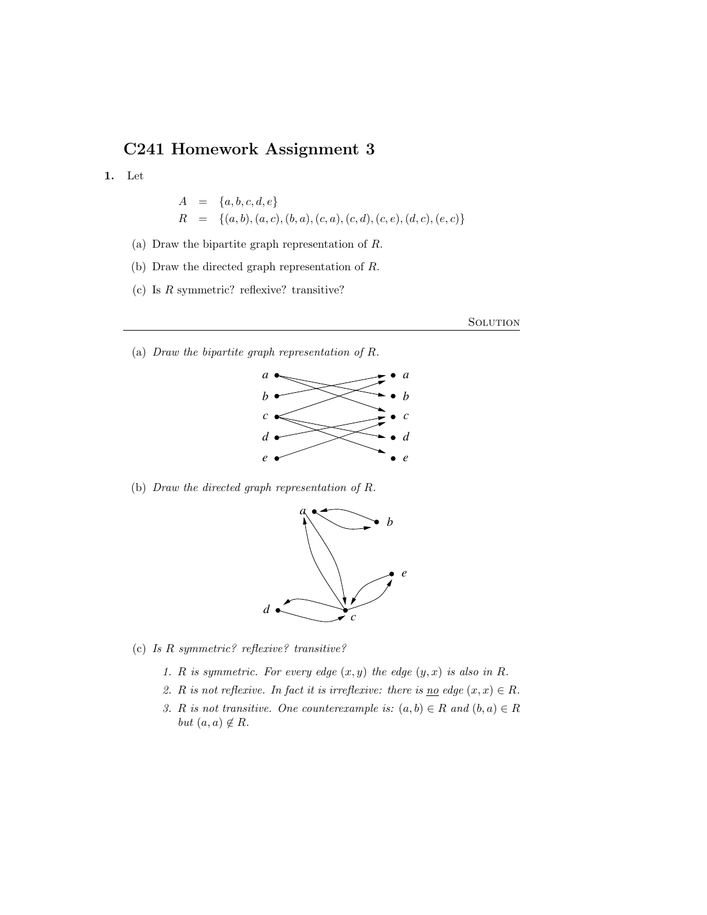# C241 Homework Assignment 3

1. Let

$$
A = \{a, b, c, d, e\}
$$
  

$$
R = \{(a, b), (a, c), (b, a), (c, a), (c, d), (c, e), (d, c), (e, c)\}
$$

- (a) Draw the bipartite graph representation of R.
- (b) Draw the directed graph representation of R.
- (c) Is  $R$  symmetric? reflexive? transitive?

**SOLUTION** 

(a) Draw the bipartite graph representation of R.



(b) Draw the directed graph representation of R.



(c) Is R symmetric? reflexive? transitive?

- 1. R is symmetric. For every edge  $(x, y)$  the edge  $(y, x)$  is also in R.
- 2. R is not reflexive. In fact it is irreflexive: there is <u>no</u> edge  $(x, x) \in R$ .
- 3. R is not transitive. One counterexample is:  $(a, b) \in R$  and  $(b, a) \in R$ but  $(a, a) \notin R$ .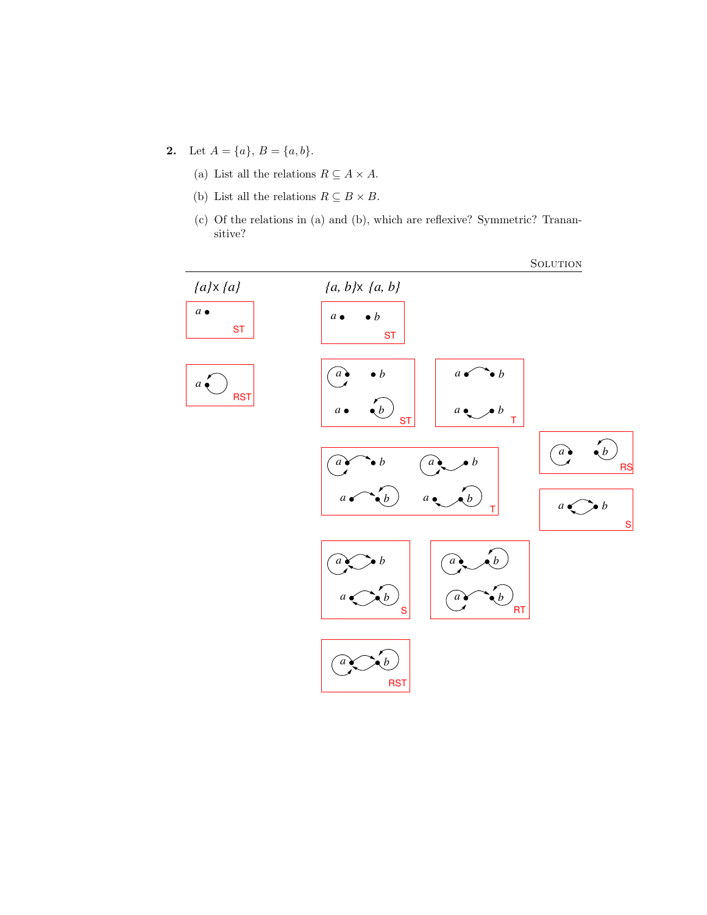- 2. Let  $A = \{a\}, B = \{a, b\}.$ 
	- (a) List all the relations  $R \subseteq A \times A$ .
	- (b) List all the relations  $R \subseteq B \times B.$
	- (c) Of the relations in (a) and (b), which are reflexive? Symmetric? Tranansitive?

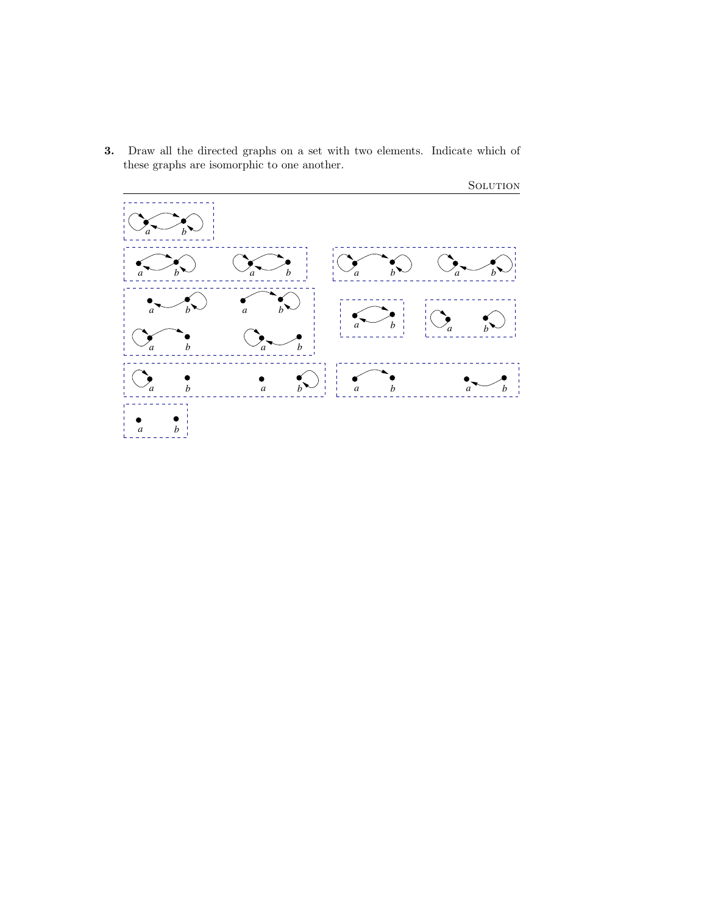3. Draw all the directed graphs on a set with two elements. Indicate which of these graphs are isomorphic to one another.

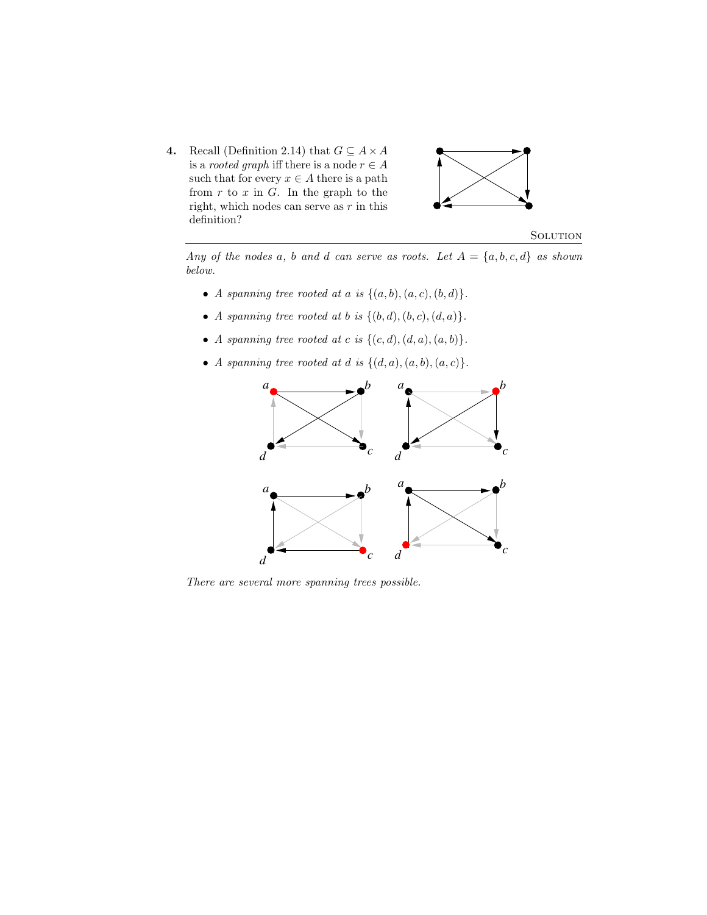4. Recall (Definition 2.14) that  $G \subseteq A \times A$ is a *rooted graph* iff there is a node  $r \in A$ such that for every  $x \in A$  there is a path from  $r$  to  $x$  in  $G$ . In the graph to the right, which nodes can serve as  $r$  in this definition?



**SOLUTION** 

Any of the nodes a, b and d can serve as roots. Let  $A = \{a, b, c, d\}$  as shown below.

- A spanning tree rooted at a is  $\{(a, b), (a, c), (b, d)\}.$
- A spanning tree rooted at b is  $\{(b, d), (b, c), (d, a)\}.$
- A spanning tree rooted at c is  $\{(c, d), (d, a), (a, b)\}.$
- A spanning tree rooted at d is  $\{(d, a), (a, b), (a, c)\}.$



There are several more spanning trees possible.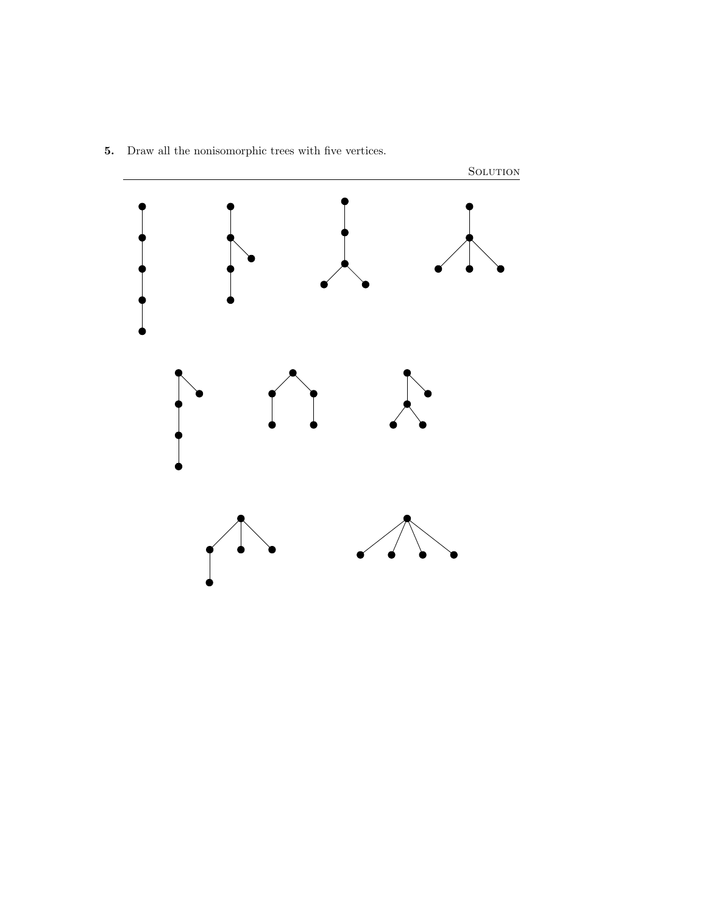

5. Draw all the nonisomorphic trees with five vertices.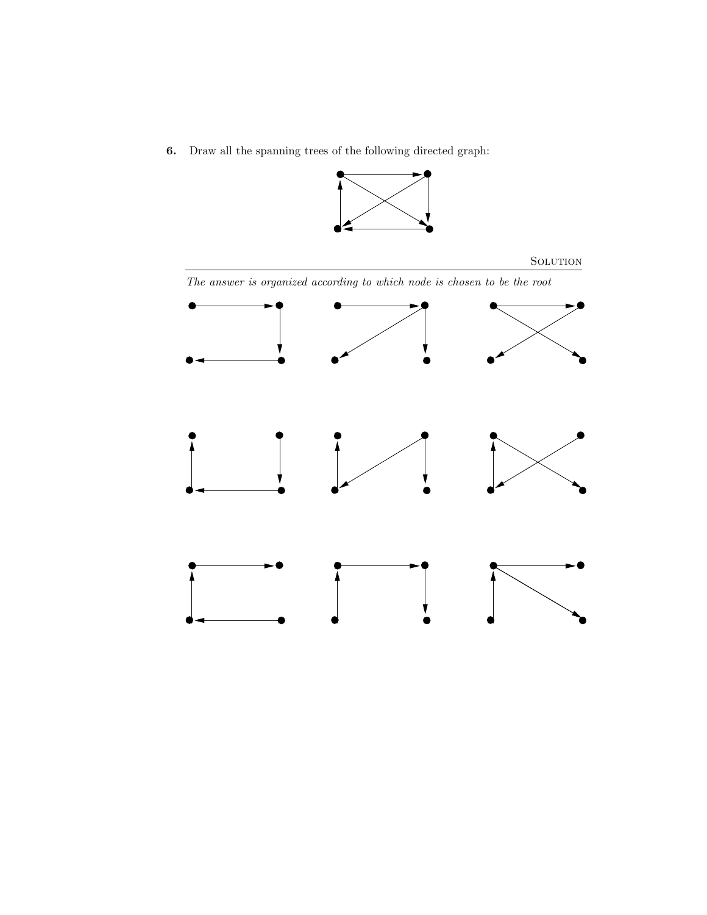6. Draw all the spanning trees of the following directed graph:



# **SOLUTION** The answer is organized according to which node is chosen to be the root